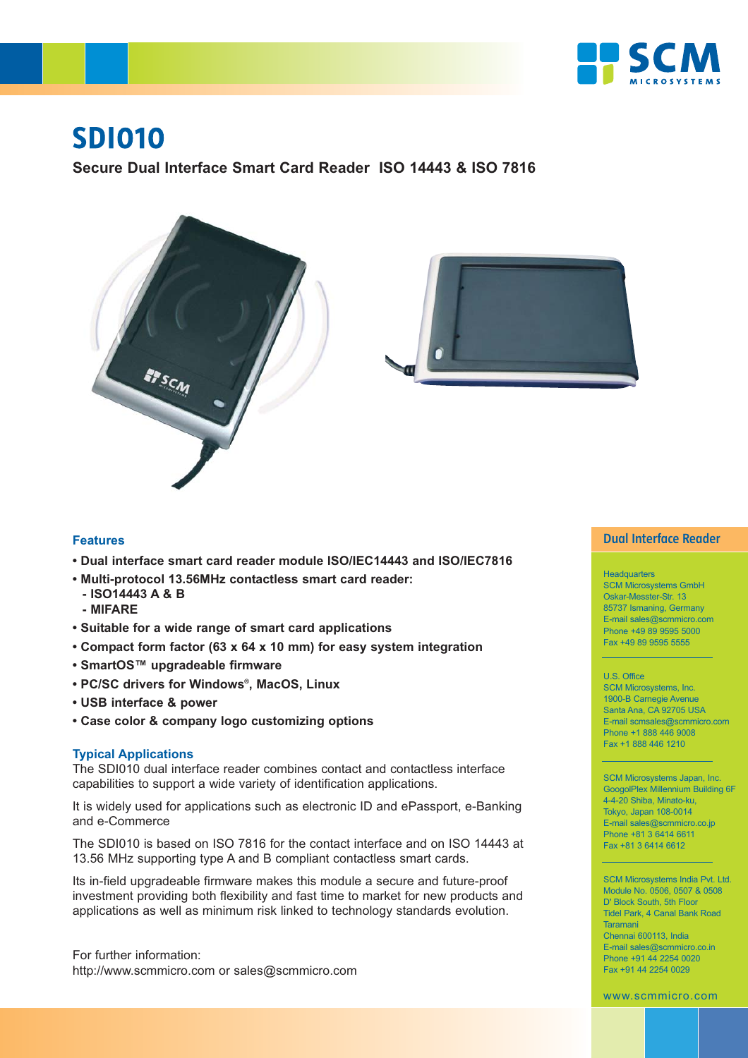

# **SDI010**

**Secure Dual Interface Smart Card Reader ISO 14443 & ISO 7816**





# **Features**

- **Dual interface smart card reader module ISO/IEC14443 and ISO/IEC7816**
- **Multi-protocol 13.56MHz contactless smart card reader:**
	- **ISO14443 A & B**
	- **MIFARE**
- **Suitable for a wide range of smart card applications**
- **Compact form factor (63 x 64 x 10 mm) for easy system integration**
- **SmartOS™ upgradeable firmware**
- **PC/SC drivers for Windows®, MacOS, Linux**
- **USB interface & power**
- **Case color & company logo customizing options**

### **Typical Applications**

The SDI010 dual interface reader combines contact and contactless interface capabilities to support a wide variety of identification applications.

It is widely used for applications such as electronic ID and ePassport, e-Banking and e-Commerce

The SDI010 is based on ISO 7816 for the contact interface and on ISO 14443 at 13.56 MHz supporting type A and B compliant contactless smart cards.

Its in-field upgradeable firmware makes this module a secure and future-proof investment providing both flexibility and fast time to market for new products and applications as well as minimum risk linked to technology standards evolution.

For further information: http://www.scmmicro.com or sales@scmmicro.com

## **Dual Interface Reader**

### **Headquarters**

SCM Microsystems GmbH Oskar-Messter-Str. 13 85737 Ismaning, Germany E-mail sales@scmmicro.com Phone +49 89 9595 5000 Fax +49 89 9595 5555

#### U.S. Office

SCM Microsystems, Inc. 1900-B Carnegie Avenue Santa Ana, CA 92705 USA E-mail scmsales@scmmicro.com Phone +1 888 446 9008 Fax +1 888 446 1210

SCM Microsystems Japan, Inc. GoogolPlex Millennium Building 6F 4-4-20 Shiba, Minato-ku, Tokyo, Japan 108-0014 E-mail sales@scmmicro.co.jp Phone +81 3 6414 6611 Fax +81 3 6414 6612

SCM Microsystems India Pvt. Ltd. Module No. 0506, 0507 & 0508 D' Block South, 5th Floor Tidel Park, 4 Canal Bank Road Taramani Chennai 600113, India E-mail sales@scmmicro.co.in Phone +91 44 2254 0020 Fax +91 44 2254 0029

www.scmmicro.com